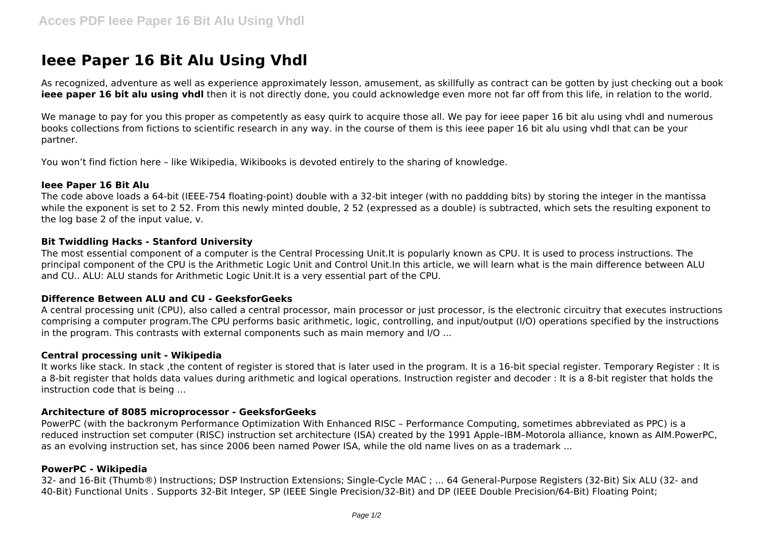# **Ieee Paper 16 Bit Alu Using Vhdl**

As recognized, adventure as well as experience approximately lesson, amusement, as skillfully as contract can be gotten by just checking out a book **ieee paper 16 bit alu using yhdl** then it is not directly done, you could acknowledge even more not far off from this life, in relation to the world.

We manage to pay for you this proper as competently as easy quirk to acquire those all. We pay for ieee paper 16 bit alu using vhdl and numerous books collections from fictions to scientific research in any way. in the course of them is this ieee paper 16 bit alu using vhdl that can be your partner.

You won't find fiction here – like Wikipedia, Wikibooks is devoted entirely to the sharing of knowledge.

#### **Ieee Paper 16 Bit Alu**

The code above loads a 64-bit (IEEE-754 floating-point) double with a 32-bit integer (with no paddding bits) by storing the integer in the mantissa while the exponent is set to 2 52. From this newly minted double, 2 52 (expressed as a double) is subtracted, which sets the resulting exponent to the log base 2 of the input value, v.

#### **Bit Twiddling Hacks - Stanford University**

The most essential component of a computer is the Central Processing Unit.It is popularly known as CPU. It is used to process instructions. The principal component of the CPU is the Arithmetic Logic Unit and Control Unit.In this article, we will learn what is the main difference between ALU and CU.. ALU: ALU stands for Arithmetic Logic Unit.It is a very essential part of the CPU.

## **Difference Between ALU and CU - GeeksforGeeks**

A central processing unit (CPU), also called a central processor, main processor or just processor, is the electronic circuitry that executes instructions comprising a computer program.The CPU performs basic arithmetic, logic, controlling, and input/output (I/O) operations specified by the instructions in the program. This contrasts with external components such as main memory and I/O ...

#### **Central processing unit - Wikipedia**

It works like stack. In stack ,the content of register is stored that is later used in the program. It is a 16-bit special register. Temporary Register : It is a 8-bit register that holds data values during arithmetic and logical operations. Instruction register and decoder : It is a 8-bit register that holds the instruction code that is being ...

## **Architecture of 8085 microprocessor - GeeksforGeeks**

PowerPC (with the backronym Performance Optimization With Enhanced RISC – Performance Computing, sometimes abbreviated as PPC) is a reduced instruction set computer (RISC) instruction set architecture (ISA) created by the 1991 Apple–IBM–Motorola alliance, known as AIM.PowerPC, as an evolving instruction set, has since 2006 been named Power ISA, while the old name lives on as a trademark ...

## **PowerPC - Wikipedia**

32- and 16-Bit (Thumb®) Instructions; DSP Instruction Extensions; Single-Cycle MAC ; ... 64 General-Purpose Registers (32-Bit) Six ALU (32- and 40-Bit) Functional Units . Supports 32-Bit Integer, SP (IEEE Single Precision/32-Bit) and DP (IEEE Double Precision/64-Bit) Floating Point;